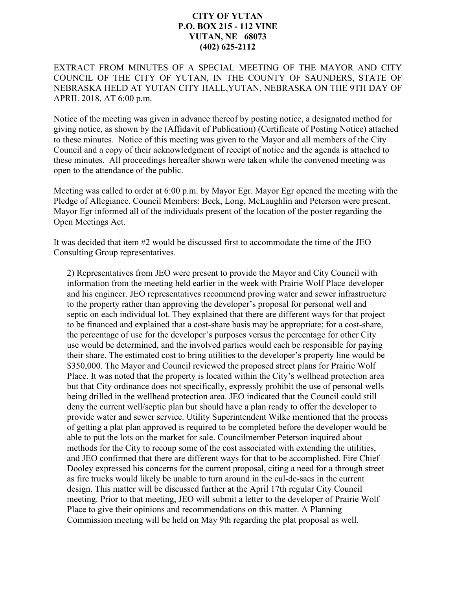## **CITY OF YUTAN P.O. BOX 215 - 112 VINE YUTAN, NE 68073 (402) 625-2112**

EXTRACT FROM MINUTES OF A SPECIAL MEETING OF THE MAYOR AND CITY COUNCIL OF THE CITY OF YUTAN, IN THE COUNTY OF SAUNDERS, STATE OF NEBRASKA HELD AT YUTAN CITY HALL,YUTAN, NEBRASKA ON THE 9TH DAY OF APRIL 2018, AT 6:00 p.m.

Notice of the meeting was given in advance thereof by posting notice, a designated method for giving notice, as shown by the (Affidavit of Publication) (Certificate of Posting Notice) attached to these minutes. Notice of this meeting was given to the Mayor and all members of the City Council and a copy of their acknowledgment of receipt of notice and the agenda is attached to these minutes. All proceedings hereafter shown were taken while the convened meeting was open to the attendance of the public.

Meeting was called to order at 6:00 p.m. by Mayor Egr. Mayor Egr opened the meeting with the Pledge of Allegiance. Council Members: Beck, Long, McLaughlin and Peterson were present. Mayor Egr informed all of the individuals present of the location of the poster regarding the Open Meetings Act.

It was decided that item #2 would be discussed first to accommodate the time of the JEO Consulting Group representatives.

2) Representatives from JEO were present to provide the Mayor and City Council with information from the meeting held earlier in the week with Prairie Wolf Place developer and his engineer. JEO representatives recommend proving water and sewer infrastructure to the property rather than approving the developer's proposal for personal well and septic on each individual lot. They explained that there are different ways for that project to be financed and explained that a cost-share basis may be appropriate; for a cost-share, the percentage of use for the developer's purposes versus the percentage for other City use would be determined, and the involved parties would each be responsible for paying their share. The estimated cost to bring utilities to the developer's property line would be \$350,000. The Mayor and Council reviewed the proposed street plans for Prairie Wolf Place. It was noted that the property is located within the City's wellhead protection area but that City ordinance does not specifically, expressly prohibit the use of personal wells being drilled in the wellhead protection area. JEO indicated that the Council could still deny the current well/septic plan but should have a plan ready to offer the developer to provide water and sewer service. Utility Superintendent Wilke mentioned that the process of getting a plat plan approved is required to be completed before the developer would be able to put the lots on the market for sale. Councilmember Peterson inquired about methods for the City to recoup some of the cost associated with extending the utilities, and JEO confirmed that there are different ways for that to be accomplished. Fire Chief Dooley expressed his concerns for the current proposal, citing a need for a through street as fire trucks would likely be unable to turn around in the cul-de-sacs in the current design. This matter will be discussed further at the April 17th regular City Council meeting. Prior to that meeting, JEO will submit a letter to the developer of Prairie Wolf Place to give their opinions and recommendations on this matter. A Planning Commission meeting will be held on May 9th regarding the plat proposal as well.